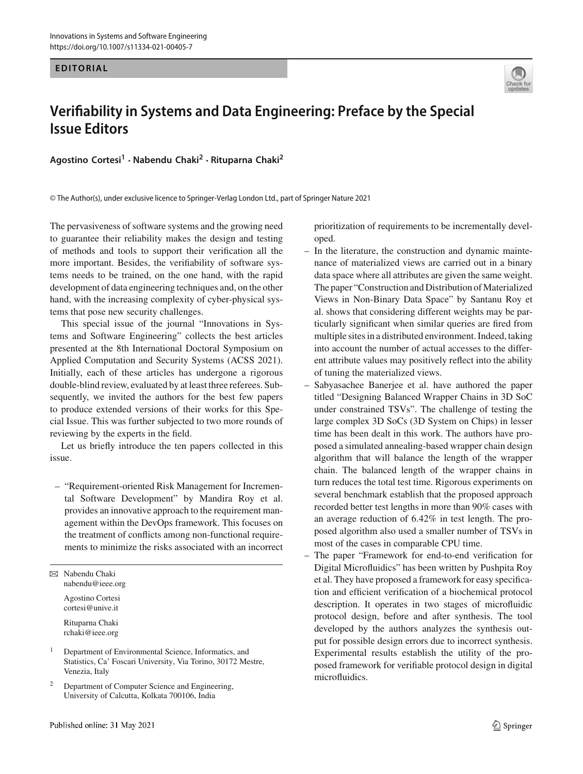## **EDITORIAL**



## **Verifiability in Systems and Data Engineering: Preface by the Special Issue Editors**

**Agostino Cortesi<sup>1</sup>** · **Nabendu Chaki<sup>2</sup>** · **Rituparna Chaki<sup>2</sup>**

© The Author(s), under exclusive licence to Springer-Verlag London Ltd., part of Springer Nature 2021

The pervasiveness of software systems and the growing need to guarantee their reliability makes the design and testing of methods and tools to support their verification all the more important. Besides, the verifiability of software systems needs to be trained, on the one hand, with the rapid development of data engineering techniques and, on the other hand, with the increasing complexity of cyber-physical systems that pose new security challenges.

This special issue of the journal "Innovations in Systems and Software Engineering" collects the best articles presented at the 8th International Doctoral Symposium on Applied Computation and Security Systems (ACSS 2021). Initially, each of these articles has undergone a rigorous double-blind review, evaluated by at least three referees. Subsequently, we invited the authors for the best few papers to produce extended versions of their works for this Special Issue. This was further subjected to two more rounds of reviewing by the experts in the field.

Let us briefly introduce the ten papers collected in this issue.

– "Requirement-oriented Risk Management for Incremental Software Development" by Mandira Roy et al. provides an innovative approach to the requirement management within the DevOps framework. This focuses on the treatment of conflicts among non-functional requirements to minimize the risks associated with an incorrect

B Nabendu Chaki nabendu@ieee.org

Agostino Cortesi cortesi@unive.it

Rituparna Chaki rchaki@ieee.org

<sup>1</sup> Department of Environmental Science, Informatics, and Statistics, Ca' Foscari University, Via Torino, 30172 Mestre, Venezia, Italy

<sup>2</sup> Department of Computer Science and Engineering, University of Calcutta, Kolkata 700106, India

prioritization of requirements to be incrementally developed.

- In the literature, the construction and dynamic maintenance of materialized views are carried out in a binary data space where all attributes are given the same weight. The paper "Construction and Distribution of Materialized Views in Non-Binary Data Space" by Santanu Roy et al. shows that considering different weights may be particularly significant when similar queries are fired from multiple sites in a distributed environment. Indeed, taking into account the number of actual accesses to the different attribute values may positively reflect into the ability of tuning the materialized views.
- Sabyasachee Banerjee et al. have authored the paper titled "Designing Balanced Wrapper Chains in 3D SoC under constrained TSVs". The challenge of testing the large complex 3D SoCs (3D System on Chips) in lesser time has been dealt in this work. The authors have proposed a simulated annealing-based wrapper chain design algorithm that will balance the length of the wrapper chain. The balanced length of the wrapper chains in turn reduces the total test time. Rigorous experiments on several benchmark establish that the proposed approach recorded better test lengths in more than 90% cases with an average reduction of 6.42% in test length. The proposed algorithm also used a smaller number of TSVs in most of the cases in comparable CPU time.
- The paper "Framework for end-to-end verification for Digital Microfluidics" has been written by Pushpita Roy et al. They have proposed a framework for easy specification and efficient verification of a biochemical protocol description. It operates in two stages of microfluidic protocol design, before and after synthesis. The tool developed by the authors analyzes the synthesis output for possible design errors due to incorrect synthesis. Experimental results establish the utility of the proposed framework for verifiable protocol design in digital microfluidics.